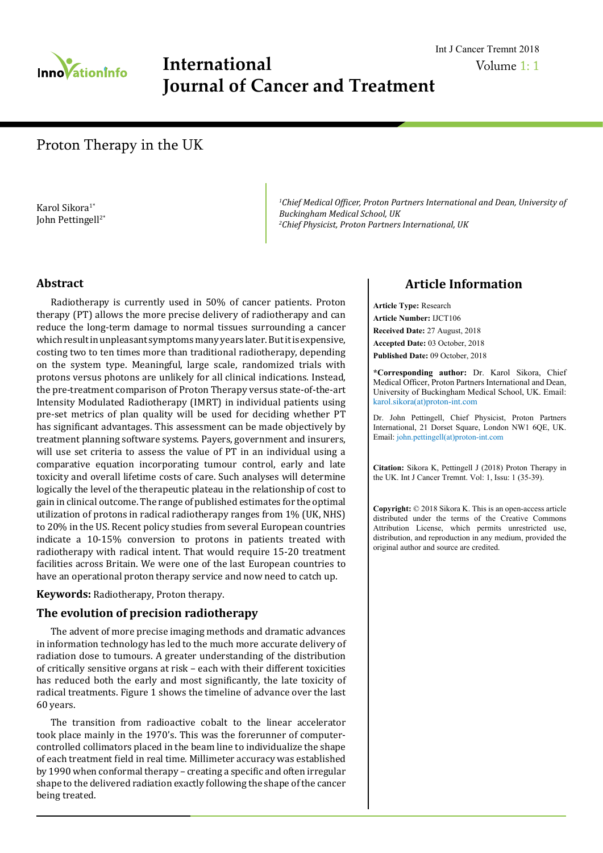

# **International Journal of Cancer and Treatment**

## Volume 1: 1 Int J Cancer Tremnt 2018

# Proton Therapy in the UK

Karol Sikora<sup>1\*</sup> John Pettingell2\* <sup>1</sup>Chief Medical Officer, Proton Partners International and Dean, University of *Buckingham Medical School, UK 2 Chief Physicist, Proton Partners International, UK*

#### **Abstract**

Radiotherapy is currently used in 50% of cancer patients. Proton therapy (PT) allows the more precise delivery of radiotherapy and can reduce the long-term damage to normal tissues surrounding a cancer which result in unpleasant symptoms many years later. But it is expensive, costing two to ten times more than traditional radiotherapy, depending on the system type. Meaningful, large scale, randomized trials with protons versus photons are unlikely for all clinical indications. Instead, the pre-treatment comparison of Proton Therapy versus state-of-the-art Intensity Modulated Radiotherapy (IMRT) in individual patients using pre-set metrics of plan quality will be used for deciding whether PT has significant advantages. This assessment can be made objectively by treatment planning software systems. Payers, government and insurers, will use set criteria to assess the value of PT in an individual using a comparative equation incorporating tumour control, early and late toxicity and overall lifetime costs of care. Such analyses will determine logically the level of the therapeutic plateau in the relationship of cost to gain in clinical outcome. The range of published estimates for the optimal utilization of protons in radical radiotherapy ranges from 1% (UK, NHS) to 20% in the US. Recent policy studies from several European countries indicate a 10-15% conversion to protons in patients treated with radiotherapy with radical intent. That would require 15-20 treatment facilities across Britain. We were one of the last European countries to have an operational proton therapy service and now need to catch up.

**Keywords:** Radiotherapy, Proton therapy.

#### **The evolution of precision radiotherapy**

The advent of more precise imaging methods and dramatic advances in information technology has led to the much more accurate delivery of radiation dose to tumours. A greater understanding of the distribution of critically sensitive organs at risk – each with their different toxicities has reduced both the early and most significantly, the late toxicity of radical treatments. Figure 1 shows the timeline of advance over the last 60 years.

The transition from radioactive cobalt to the linear accelerator took place mainly in the 1970's. This was the forerunner of computercontrolled collimators placed in the beam line to individualize the shape of each treatment field in real time. Millimeter accuracy was established by 1990 when conformal therapy – creating a specific and often irregular shape to the delivered radiation exactly following the shape of the cancer being treated.

## **Article Information**

**Article Type:** Research **Article Number:** IJCT106 **Received Date:** 27 August, 2018 **Accepted Date:** 03 October, 2018 **Published Date:** 09 October, 2018

**\*Corresponding author:** Dr. Karol Sikora, Chief Medical Officer, Proton Partners International and Dean, University of Buckingham Medical School, UK. Email: karol.sikora(at)proton-int.com

Dr. John Pettingell, Chief Physicist, Proton Partners International, 21 Dorset Square, London NW1 6QE, UK. Email: john.pettingell(at)proton-int.com

**Citation:** Sikora K, Pettingell J (2018) Proton Therapy in the UK. Int J Cancer Tremnt. Vol: 1, Issu: 1 (35-39).

**Copyright:** © 2018 Sikora K. This is an open-access article distributed under the terms of the Creative Commons Attribution License, which permits unrestricted use, distribution, and reproduction in any medium, provided the original author and source are credited.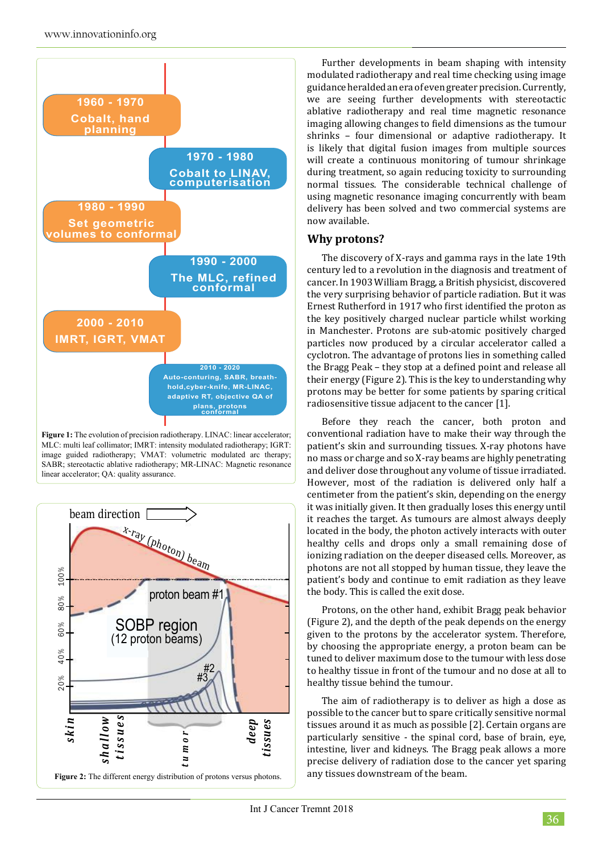

Figure 1: The evolution of precision radiotherapy. LINAC: linear accelerator; MLC: multi leaf collimator; IMRT: intensity modulated radiotherapy; IGRT: image guided radiotherapy; VMAT: volumetric modulated arc therapy; SABR; stereotactic ablative radiotherapy; MR-LINAC: Magnetic resonance linear accelerator; QA: quality assurance.



Further developments in beam shaping with intensity modulated radiotherapy and real time checking using image guidance heralded an era of even greater precision. Currently, we are seeing further developments with stereotactic ablative radiotherapy and real time magnetic resonance imaging allowing changes to field dimensions as the tumour shrinks – four dimensional or adaptive radiotherapy. It is likely that digital fusion images from multiple sources will create a continuous monitoring of tumour shrinkage during treatment, so again reducing toxicity to surrounding normal tissues. The considerable technical challenge of using magnetic resonance imaging concurrently with beam delivery has been solved and two commercial systems are now available.

## **Why protons?**

The discovery of X-rays and gamma rays in the late 19th century led to a revolution in the diagnosis and treatment of cancer. In 1903 William Bragg, a British physicist, discovered the very surprising behavior of particle radiation. But it was Ernest Rutherford in 1917 who first identified the proton as the key positively charged nuclear particle whilst working in Manchester. Protons are sub-atomic positively charged particles now produced by a circular accelerator called a cyclotron. The advantage of protons lies in something called the Bragg Peak – they stop at a defined point and release all their energy (Figure 2). This is the key to understanding why protons may be better for some patients by sparing critical radiosensitive tissue adjacent to the cancer [1].

Before they reach the cancer, both proton and conventional radiation have to make their way through the patient's skin and surrounding tissues. X-ray photons have no mass or charge and so X-ray beams are highly penetrating and deliver dose throughout any volume of tissue irradiated. However, most of the radiation is delivered only half a centimeter from the patient's skin, depending on the energy it was initially given. It then gradually loses this energy until it reaches the target. As tumours are almost always deeply located in the body, the photon actively interacts with outer healthy cells and drops only a small remaining dose of ionizing radiation on the deeper diseased cells. Moreover, as photons are not all stopped by human tissue, they leave the patient's body and continue to emit radiation as they leave the body. This is called the exit dose.

Protons, on the other hand, exhibit Bragg peak behavior (Figure 2), and the depth of the peak depends on the energy given to the protons by the accelerator system. Therefore, by choosing the appropriate energy, a proton beam can be tuned to deliver maximum dose to the tumour with less dose to healthy tissue in front of the tumour and no dose at all to healthy tissue behind the tumour.

The aim of radiotherapy is to deliver as high a dose as possible to the cancer but to spare critically sensitive normal tissues around it as much as possible [2]. Certain organs are particularly sensitive - the spinal cord, base of brain, eye, intestine, liver and kidneys. The Bragg peak allows a more precise delivery of radiation dose to the cancer yet sparing any tissues downstream of the beam.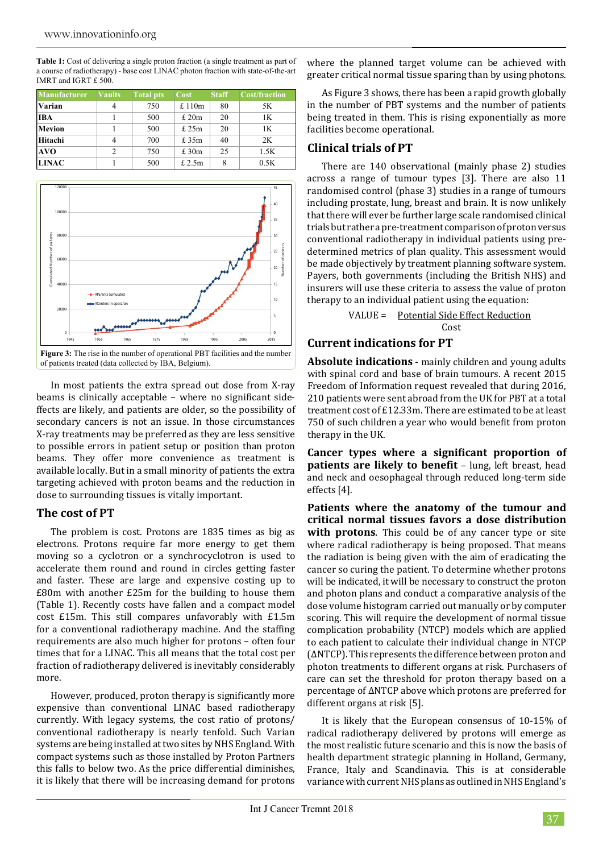| <b>Manufacturer</b> | <b>Vaults</b>  | <b>Total pts</b> | Cost  | <b>Staff</b> | <b>Cost/fraction</b> |
|---------------------|----------------|------------------|-------|--------------|----------------------|
| Varian              | 4              | 750              | £110m | 80           | 5K                   |
| <b>IBA</b>          |                | 500              | £20m  | 20           | 1K                   |
| Mevion              |                | 500              | £25m  | 20           | 1K                   |
| Hitachi             | 4              | 700              | £ 35m | 40           | 2K                   |
| AVO                 | $\overline{c}$ | 750              | £30m  | 25           | 1.5K                 |
| <b>LINAC</b>        |                | 500              | £2.5m | 8            | 0.5K                 |

**Table 1:** Cost of delivering a single proton fraction (a single treatment as part of a course of radiotherapy) - base cost LINAC photon fraction with state-of-the-art IMRT and IGRT £ 500.



In most patients the extra spread out dose from X-ray beams is clinically acceptable – where no significant sideffects are likely, and patients are older, so the possibility of secondary cancers is not an issue. In those circumstances X-ray treatments may be preferred as they are less sensitive to possible errors in patient setup or position than proton beams. They offer more convenience as treatment is available locally. But in a small minority of patients the extra targeting achieved with proton beams and the reduction in dose to surrounding tissues is vitally important.

#### **The cost of PT**

The problem is cost. Protons are 1835 times as big as electrons. Protons require far more energy to get them moving so a cyclotron or a synchrocyclotron is used to accelerate them round and round in circles getting faster and faster. These are large and expensive costing up to £80m with another £25m for the building to house them (Table 1). Recently costs have fallen and a compact model cost £15m. This still compares unfavorably with £1.5m for a conventional radiotherapy machine. And the staffing requirements are also much higher for protons – often four times that for a LINAC. This all means that the total cost per fraction of radiotherapy delivered is inevitably considerably more.

However, produced, proton therapy is significantly more expensive than conventional LINAC based radiotherapy currently. With legacy systems, the cost ratio of protons/ conventional radiotherapy is nearly tenfold. Such Varian systems are being installed at two sites by NHS England. With compact systems such as those installed by Proton Partners this falls to below two. As the price differential diminishes, it is likely that there will be increasing demand for protons

where the planned target volume can be achieved with greater critical normal tissue sparing than by using photons.

As Figure 3 shows, there has been a rapid growth globally in the number of PBT systems and the number of patients being treated in them. This is rising exponentially as more facilities become operational.

## **Clinical trials of PT**

There are 140 observational (mainly phase 2) studies across a range of tumour types [3]. There are also 11 randomised control (phase 3) studies in a range of tumours including prostate, lung, breast and brain. It is now unlikely that there will ever be further large scale randomised clinical trials but rather a pre-treatment comparison of proton versus conventional radiotherapy in individual patients using predetermined metrics of plan quality. This assessment would be made objectively by treatment planning software system. Payers, both governments (including the British NHS) and insurers will use these criteria to assess the value of proton therapy to an individual patient using the equation:

 VALUE = Potential Side Effect Reduction <u>Cost (Cost )</u>

## **Current indications for PT**

**Absolute indications** - mainly children and young adults with spinal cord and base of brain tumours. A recent 2015 Freedom of Information request revealed that during 2016, 210 patients were sent abroad from the UK for PBT at a total treatment cost of £12.33m. There are estimated to be at least 750 of such children a year who would benefit from proton therapy in the UK.

**Cancer types where a significant proportion of patients are likely to benefit** – lung, left breast, head and neck and oesophageal through reduced long-term side effects [4].

**Patients where the anatomy of the tumour and critical normal tissues favors a dose distribution with protons**. This could be of any cancer type or site where radical radiotherapy is being proposed. That means the radiation is being given with the aim of eradicating the cancer so curing the patient. To determine whether protons will be indicated, it will be necessary to construct the proton and photon plans and conduct a comparative analysis of the dose volume histogram carried out manually or by computer scoring. This will require the development of normal tissue complication probability (NTCP) models which are applied to each patient to calculate their individual change in NTCP (ΔNTCP). This represents the difference between proton and photon treatments to different organs at risk. Purchasers of care can set the threshold for proton therapy based on a percentage of ΔNTCP above which protons are preferred for different organs at risk [5].

It is likely that the European consensus of 10-15% of radical radiotherapy delivered by protons will emerge as the most realistic future scenario and this is now the basis of health department strategic planning in Holland, Germany, France, Italy and Scandinavia. This is at considerable variance with current NHS plans as outlined in NHS England's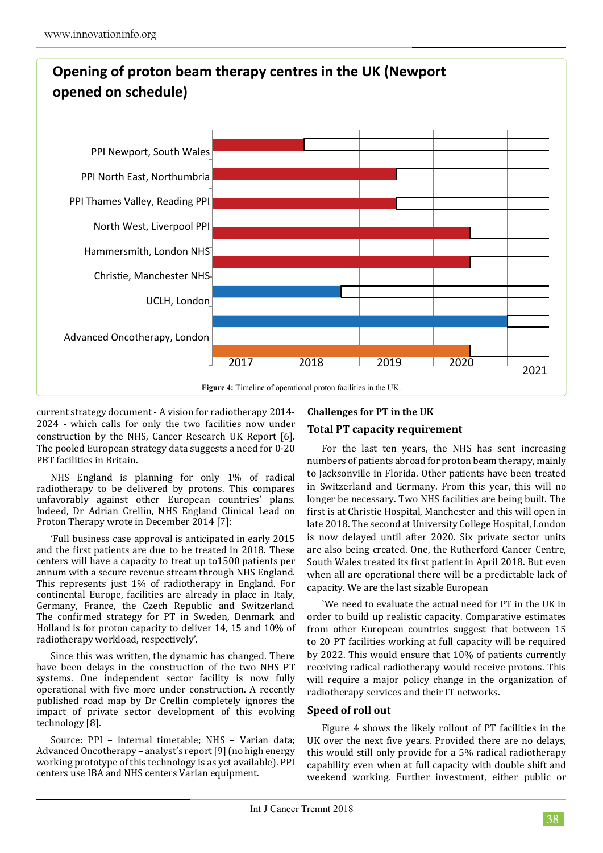

current strategy document - A vision for radiotherapy 2014- 2024 *-* which calls for only the two facilities now under construction by the NHS, Cancer Research UK Report [6]. The pooled European strategy data suggests a need for 0-20 PBT facilities in Britain.

NHS England is planning for only 1% of radical radiotherapy to be delivered by protons. This compares unfavorably against other European countries' plans. Indeed, Dr Adrian Crellin, NHS England Clinical Lead on Proton Therapy wrote in December 2014 [7]:

'Full business case approval is anticipated in early 2015 and the first patients are due to be treated in 2018. These centers will have a capacity to treat up to1500 patients per annum with a secure revenue stream through NHS England. This represents just 1% of radiotherapy in England. For continental Europe, facilities are already in place in Italy, Germany, France, the Czech Republic and Switzerland. The confirmed strategy for PT in Sweden, Denmark and Holland is for proton capacity to deliver 14, 15 and 10% of radiotherapy workload, respectively'.

Since this was written, the dynamic has changed. There have been delays in the construction of the two NHS PT systems. One independent sector facility is now fully operational with five more under construction. A recently published road map by Dr Crellin completely ignores the impact of private sector development of this evolving technology [8].

Source: PPI – internal timetable; NHS – Varian data; Advanced Oncotherapy – analyst's report [9] (no high energy working prototype of this technology is as yet available). PPI centers use IBA and NHS centers Varian equipment.

# **Challenges for PT in the UK**

## **Total PT capacity requirement**

For the last ten years, the NHS has sent increasing numbers of patients abroad for proton beam therapy, mainly to Jacksonville in Florida. Other patients have been treated in Switzerland and Germany. From this year, this will no longer be necessary. Two NHS facilities are being built. The first is at Christie Hospital, Manchester and this will open in late 2018. The second at University College Hospital, London is now delayed until after 2020. Six private sector units are also being created. One, the Rutherford Cancer Centre, South Wales treated its first patient in April 2018. But even when all are operational there will be a predictable lack of capacity. We are the last sizable European

`We need to evaluate the actual need for PT in the UK in order to build up realistic capacity. Comparative estimates from other European countries suggest that between 15 to 20 PT facilities working at full capacity will be required by 2022. This would ensure that 10% of patients currently receiving radical radiotherapy would receive protons. This will require a major policy change in the organization of radiotherapy services and their IT networks.

## **Speed of roll out**

Figure 4 shows the likely rollout of PT facilities in the UK over the next five years. Provided there are no delays, this would still only provide for a 5% radical radiotherapy capability even when at full capacity with double shift and weekend working. Further investment, either public or